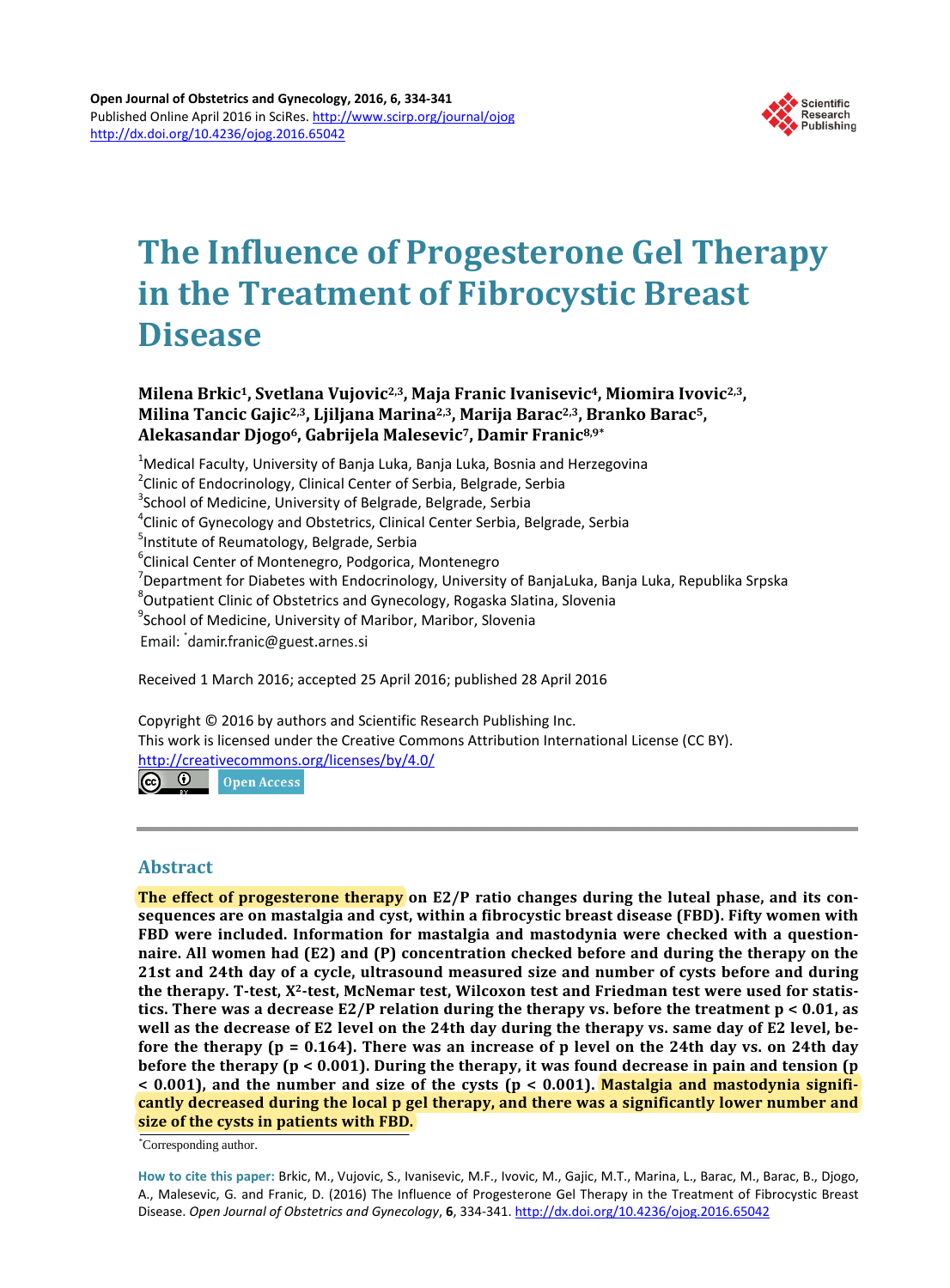

# **The Influence of Progesterone Gel Therapy in the Treatment of Fibrocystic Breast Disease**

**Milena Brkic1, Svetlana Vujovic2,3, Maja Franic Ivanisevic4, Miomira Ivovic2,3, Milina Tancic Gajic2,3, Ljiljana Marina2,3, Marija Barac2,3, Branko Barac5, Alekasandar Djogo6, Gabrijela Malesevic7, Damir Franic8,9\***

<sup>1</sup>Medical Faculty, University of Banja Luka, Banja Luka, Bosnia and Herzegovina<br><sup>2</sup>Clinia of Endesrinalegy, Clinical Center of Serbia, Belgrade, Serbia <sup>2</sup> Clinic of Endocrinology, Clinical Center of Serbia, Belgrade, Serbia <sup>3</sup>School of Medicine, University of Belgrade, Belgrade, Serbia  ${}^{4}$ Clinic of Gynecology and Obstetrics, Clinical Center Serbia, Belgrade, Serbia <sup>5</sup>Institute of Reumatology, Belgrade, Serbia <sup>6</sup>Clinical Center of Montenegro, Podgorica, Montenegro  $\sigma$ Department for Diabetes with Endocrinology, University of BanjaLuka, Banja Luka, Republika Srpska <sup>8</sup>Outpatient Clinic of Obstetrics and Gynecology, Rogaska Slatina, Slovenia <sup>9</sup>School of Medicine, University of Maribor, Maribor, Slovenia Email: damir.franic@guest.arnes.si

Received 1 March 2016; accepted 25 April 2016; published 28 April 2016

Copyright © 2016 by authors and Scientific Research Publishing Inc. This work is licensed under the Creative Commons Attribution International License (CC BY). <http://creativecommons.org/licenses/by/4.0/>  $\odot$ Open Access

# **Abstract**

**The effect of progesterone therapy on E2/P ratio changes during the luteal phase, and its consequences are on mastalgia and cyst, within a fibrocystic breast disease (FBD). Fifty women with FBD were included. Information for mastalgia and mastodynia were checked with a questionnaire. All women had (E2) and (P) concentration checked before and during the therapy on the 21st and 24th day of a cycle, ultrasound measured size and number of cysts before and during the therapy. T-test, X2-test, McNemar test, Wilcoxon test and Friedman test were used for statistics. There was a decrease E2/P relation during the therapy vs. before the treatment p < 0.01, as well as the decrease of E2 level on the 24th day during the therapy vs. same day of E2 level, before the therapy (p = 0.164). There was an increase of p level on the 24th day vs. on 24th day before the therapy (p < 0.001). During the therapy, it was found decrease in pain and tension (p < 0.001), and the number and size of the cysts (p < 0.001). Mastalgia and mastodynia significantly decreased during the local p gel therapy, and there was a significantly lower number and size of the cysts in patients with FBD.**

\* Corresponding author.

**How to cite this paper:** Brkic, M., Vujovic, S., Ivanisevic, M.F., Ivovic, M., Gajic, M.T., Marina, L., Barac, M., Barac, B., Djogo, A., Malesevic, G. and Franic, D. (2016) The Influence of Progesterone Gel Therapy in the Treatment of Fibrocystic Breast Disease. *Open Journal of Obstetrics and Gynecology*, **6**, 334-341. <http://dx.doi.org/10.4236/ojog.2016.65042>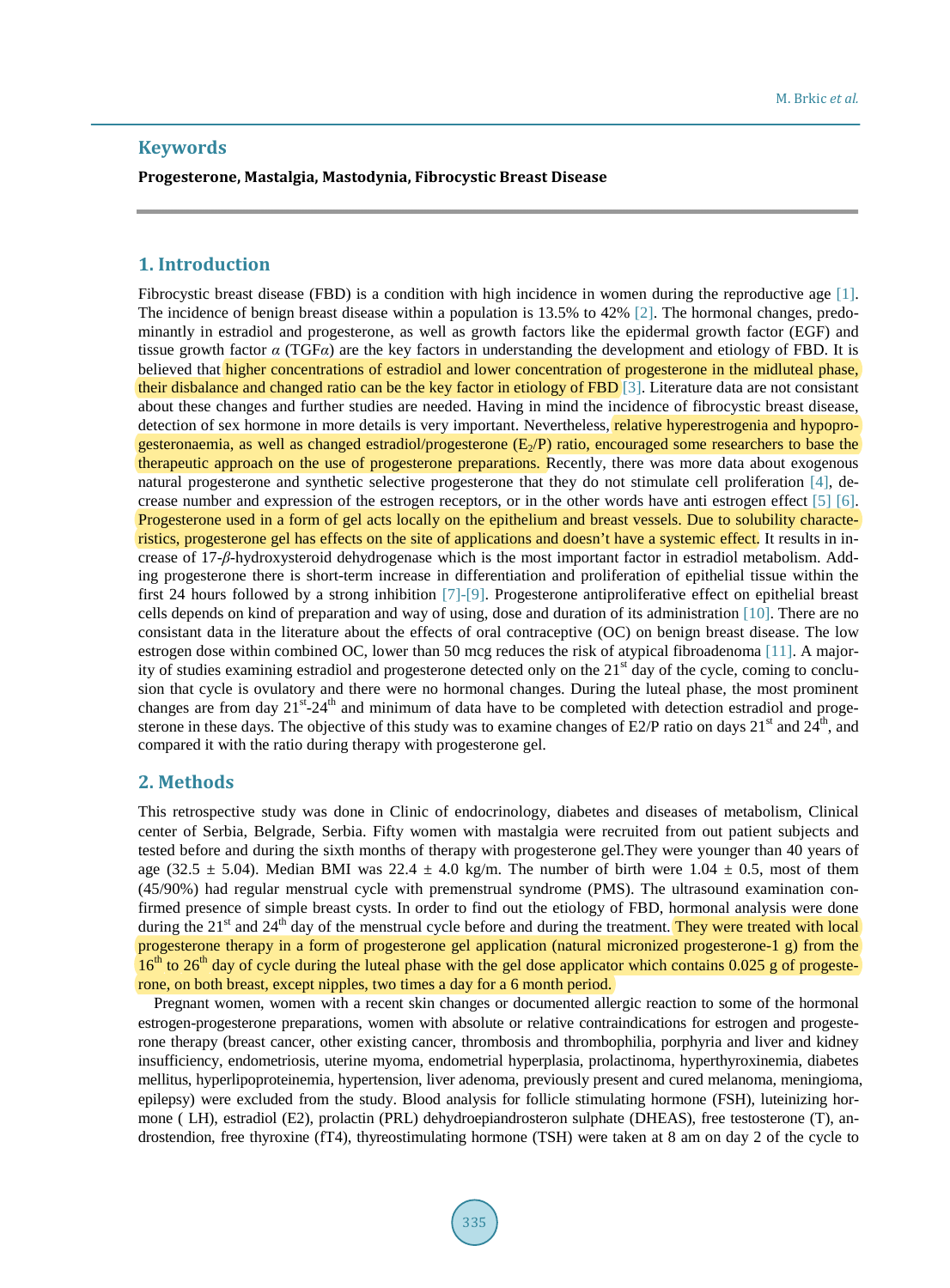# **Keywords**

**Progesterone, Mastalgia, Mastodynia, Fibrocystic Breast Disease**

# **1. Introduction**

Fibrocystic breast disease (FBD) is a condition with high incidence in women during the reproductive age [\[1\].](#page-6-0) The incidence of benign breast disease within a population is 13.5% to 42% [\[2\].](#page-6-1) The hormonal changes, predominantly in estradiol and progesterone, as well as growth factors like the epidermal growth factor (EGF) and tissue growth factor *α* (TGF*α*) are the key factors in understanding the development and etiology of FBD. It is believed that higher concentrations of estradiol and lower concentration of progesterone in the midluteal phase, their disbalance and changed ratio can be the key factor in etiology of FBD [\[3\].](#page-6-2) Literature data are not consistant about these changes and further studies are needed. Having in mind the incidence of fibrocystic breast disease, detection of sex hormone in more details is very important. Nevertheless, relative hyperestrogenia and hypoprogesteronaemia, as well as changed estradiol/progesterone  $(E_2/P)$  ratio, encouraged some researchers to base the therapeutic approach on the use of progesterone preparations. Recently, there was more data about exogenous natural progesterone and synthetic selective progesterone that they do not stimulate cell proliferation [\[4\],](#page-6-3) decrease number and expression of the estrogen receptors, or in the other words have anti estrogen effect [\[5\]](#page-6-4) [\[6\].](#page-6-5) Progesterone used in a form of gel acts locally on the epithelium and breast vessels. Due to solubility characteristics, progesterone gel has effects on the site of applications and doesn't have a systemic effect. It results in increase of 17-*β*-hydroxysteroid dehydrogenase which is the most important factor in estradiol metabolism. Adding progesterone there is short-term increase in differentiation and proliferation of epithelial tissue within the first 24 hours followed by a strong inhibition [\[7\]](#page-6-6)[-\[9\].](#page-6-7) Progesterone antiproliferative effect on epithelial breast cells depends on kind of preparation and way of using, dose and duration of its administration [\[10\].](#page-6-8) There are no consistant data in the literature about the effects of oral contraceptive (OC) on benign breast disease. The low estrogen dose within combined OC, lower than 50 mcg reduces the risk of atypical fibroadenoma [\[11\].](#page-6-9) A majority of studies examining estradiol and progesterone detected only on the  $21<sup>st</sup>$  day of the cycle, coming to conclusion that cycle is ovulatory and there were no hormonal changes. During the luteal phase, the most prominent changes are from day 21<sup>st</sup>-24<sup>th</sup> and minimum of data have to be completed with detection estradiol and progesterone in these days. The objective of this study was to examine changes of E2/P ratio on days  $21<sup>st</sup>$  and  $24<sup>th</sup>$ , and compared it with the ratio during therapy with progesterone gel.

## **2. Methods**

This retrospective study was done in Clinic of endocrinology, diabetes and diseases of metabolism, Clinical center of Serbia, Belgrade, Serbia. Fifty women with mastalgia were recruited from out patient subjects and tested before and during the sixth months of therapy with progesterone gel.They were younger than 40 years of age (32.5  $\pm$  5.04). Median BMI was 22.4  $\pm$  4.0 kg/m. The number of birth were 1.04  $\pm$  0.5, most of them (45/90%) had regular menstrual cycle with premenstrual syndrome (PMS). The ultrasound examination confirmed presence of simple breast cysts. In order to find out the etiology of FBD, hormonal analysis were done during the  $21<sup>st</sup>$  and  $24<sup>th</sup>$  day of the menstrual cycle before and during the treatment. They were treated with local progesterone therapy in a form of progesterone gel application (natural micronized progesterone-1 g) from the  $16<sup>th</sup>$  to 26<sup>th</sup> day of cycle during the luteal phase with the gel dose applicator which contains 0.025 g of progesterone, on both breast, except nipples, two times a day for a 6 month period.

Pregnant women, women with a recent skin changes or documented allergic reaction to some of the hormonal estrogen-progesterone preparations, women with absolute or relative contraindications for estrogen and progesterone therapy (breast cancer, other existing cancer, thrombosis and thrombophilia, porphyria and liver and kidney insufficiency, endometriosis, uterine myoma, endometrial hyperplasia, prolactinoma, hyperthyroxinemia, diabetes mellitus, hyperlipoproteinemia, hypertension, liver adenoma, previously present and cured melanoma, meningioma, epilepsy) were excluded from the study. Blood analysis for follicle stimulating hormone (FSH), luteinizing hormone ( LH), estradiol (E2), prolactin (PRL) dehydroepiandrosteron sulphate (DHEAS), free testosterone (T), androstendion, free thyroxine (fT4), thyreostimulating hormone (TSH) were taken at 8 am on day 2 of the cycle to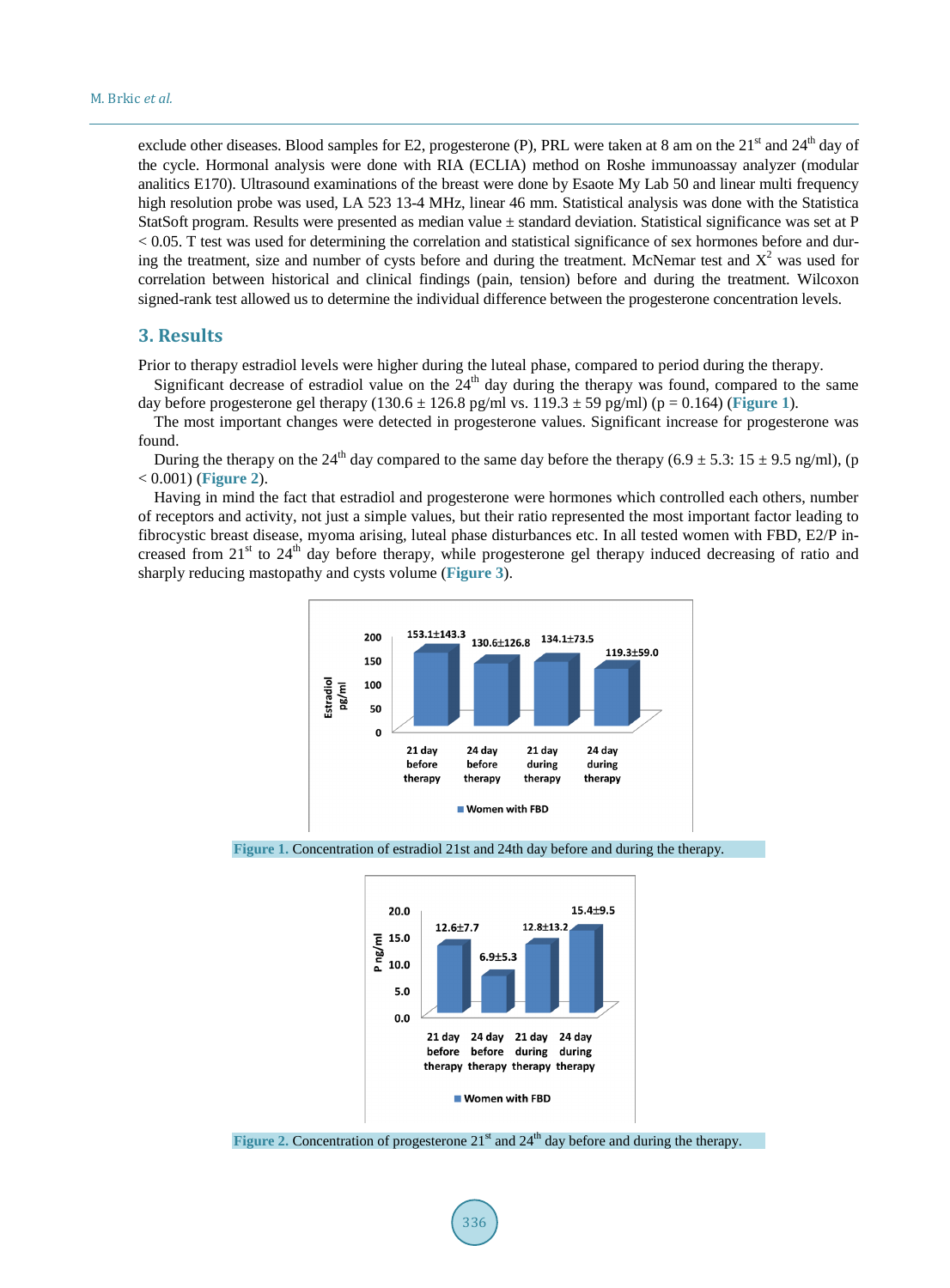exclude other diseases. Blood samples for E2, progesterone (P), PRL were taken at 8 am on the  $21<sup>st</sup>$  and  $24<sup>th</sup>$  day of the cycle. Hormonal analysis were done with RIA (ECLIA) method on Roshe immunoassay analyzer (modular analitics E170). Ultrasound examinations of the breast were done by Esaote My Lab 50 and linear multi frequency high resolution probe was used, LA 523 13-4 MHz, linear 46 mm. Statistical analysis was done with the Statistica StatSoft program. Results were presented as median value ± standard deviation. Statistical significance was set at P  $< 0.05$ . T test was used for determining the correlation and statistical significance of sex hormones before and during the treatment, size and number of cysts before and during the treatment. McNemar test and  $X<sup>2</sup>$  was used for correlation between historical and clinical findings (pain, tension) before and during the treatment. Wilcoxon signed-rank test allowed us to determine the individual difference between the progesterone concentration levels.

# **3. Results**

Prior to therapy estradiol levels were higher during the luteal phase, compared to period during the therapy.

Significant decrease of estradiol value on the  $24<sup>th</sup>$  day during the therapy was found, compared to the same day before progesterone gel therapy  $(130.6 \pm 126.8 \text{ pg/ml vs. } 119.3 \pm 59 \text{ pg/ml})$  (p = 0.164) ([Figure](#page-2-0) 1).

The most important changes were detected in progesterone values. Significant increase for progesterone was found.

During the therapy on the 24<sup>th</sup> day compared to the same day before the therapy (6.9  $\pm$  5.3: 15  $\pm$  9.5 ng/ml), (p < 0.001) (**[Figure](#page-2-1) 2**).

<span id="page-2-0"></span>Having in mind the fact that estradiol and progesterone were hormones which controlled each others, number of receptors and activity, not just a simple values, but their ratio represented the most important factor leading to fibrocystic breast disease, myoma arising, luteal phase disturbances etc. In all tested women with FBD, E2/P increased from  $21<sup>st</sup>$  to  $24<sup>th</sup>$  day before therapy, while progesterone gel therapy induced decreasing of ratio and sharply reducing mastopathy and cysts volume (**[Figure](#page-3-0) 3**).



<span id="page-2-1"></span>



Figure 2. Concentration of progesterone 21<sup>st</sup> and 24<sup>th</sup> day before and during the therapy.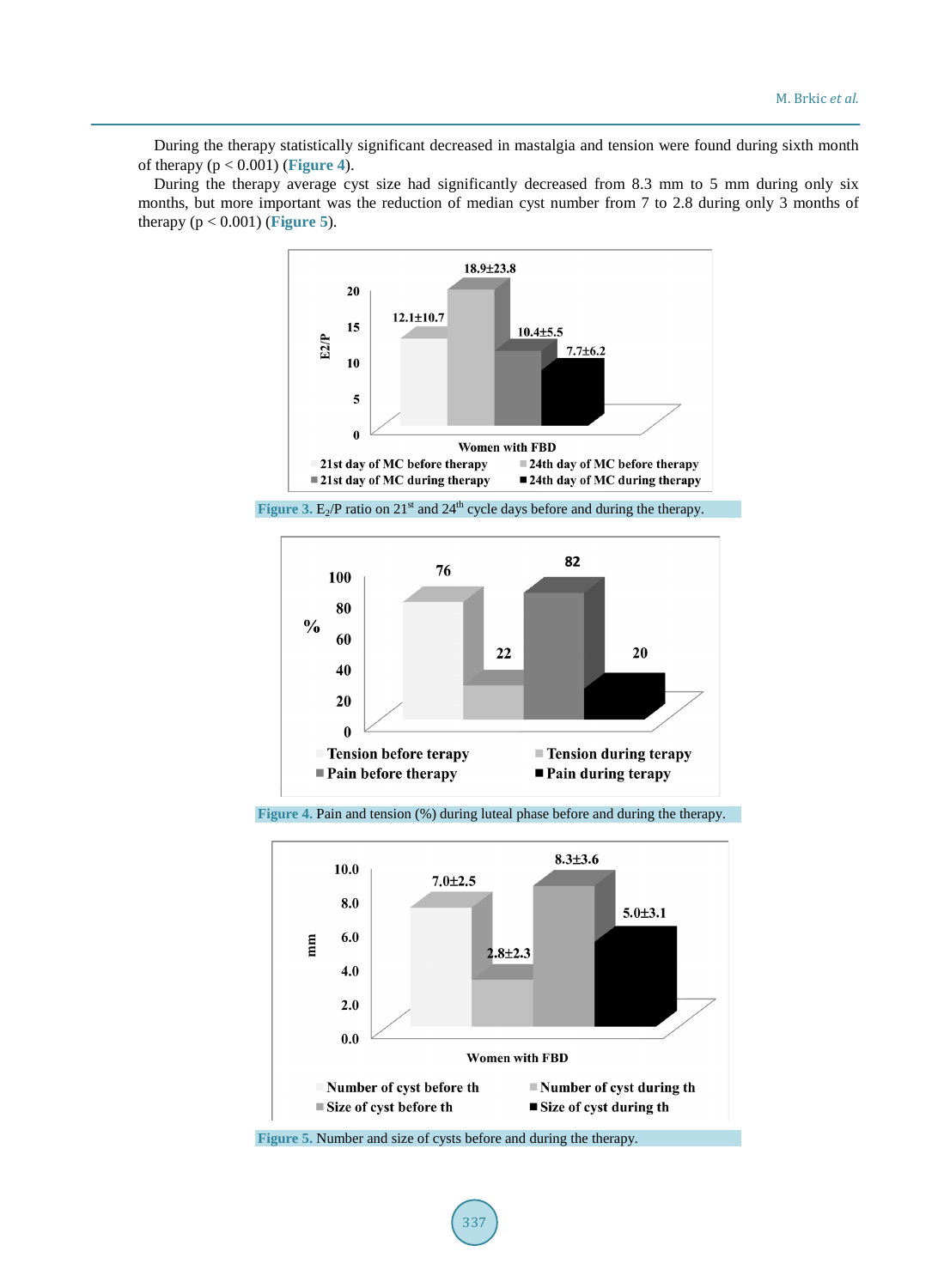During the therapy statistically significant decreased in mastalgia and tension were found during sixth month of therapy (p < 0.001) (**[Figure](#page-3-1) 4**).

<span id="page-3-0"></span>During the therapy average cyst size had significantly decreased from 8.3 mm to 5 mm during only six months, but more important was the reduction of median cyst number from 7 to 2.8 during only 3 months of therapy  $(p < 0.001)$  (**[Figure](#page-3-2) 5**).



<span id="page-3-1"></span>**Figure 3.** E<sub>2</sub>/P ratio on 21<sup>st</sup> and 24<sup>th</sup> cycle days before and during the therapy.



<span id="page-3-2"></span>**Figure 4.** Pain and tension (%) during luteal phase before and during the therapy.



**Figure 5.** Number and size of cysts before and during the therapy.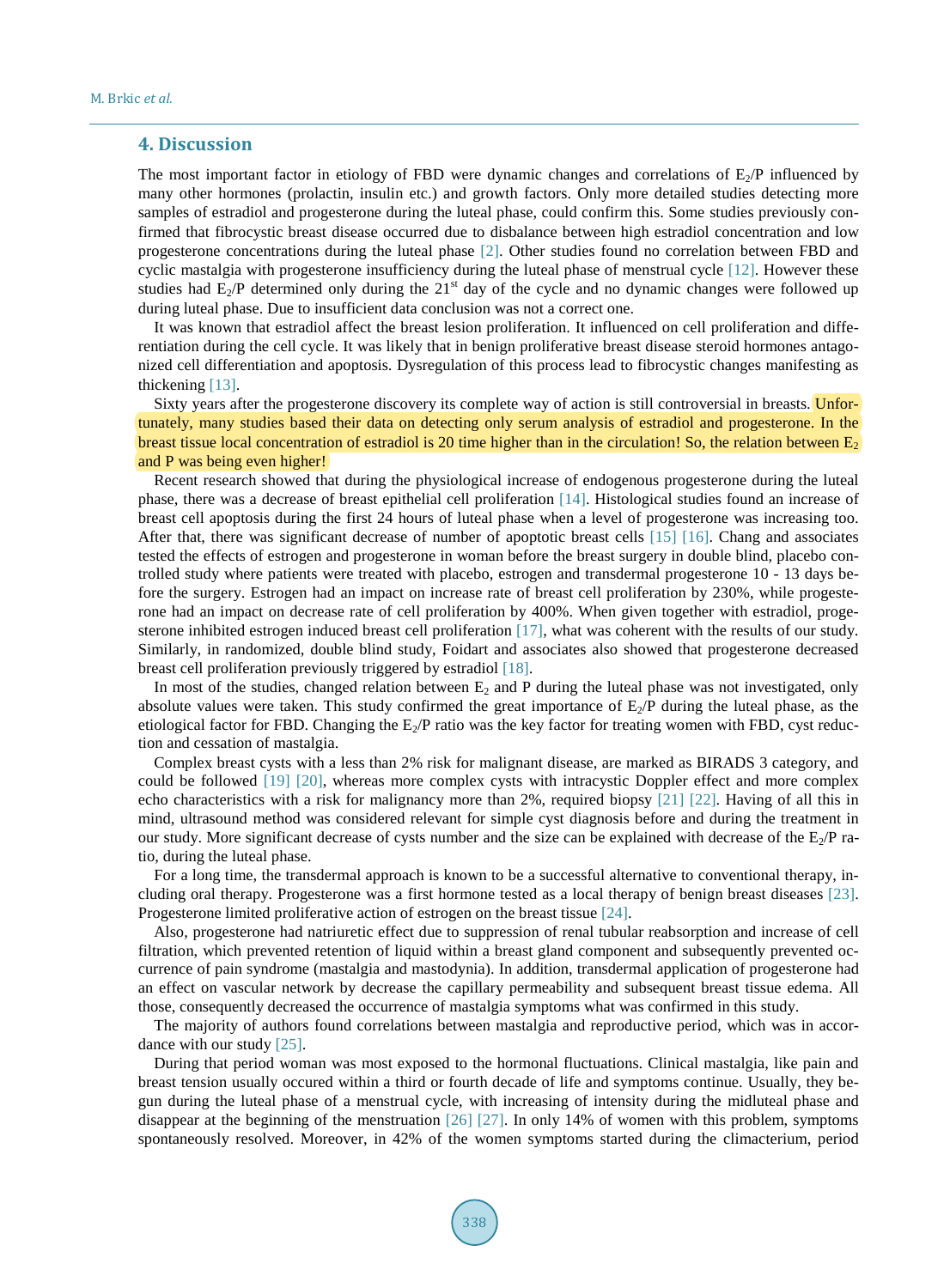#### **4. Discussion**

The most important factor in etiology of FBD were dynamic changes and correlations of E<sub>2</sub>/P influenced by many other hormones (prolactin, insulin etc.) and growth factors. Only more detailed studies detecting more samples of estradiol and progesterone during the luteal phase, could confirm this. Some studies previously confirmed that fibrocystic breast disease occurred due to disbalance between high estradiol concentration and low progesterone concentrations during the luteal phase [\[2\].](#page-6-1) Other studies found no correlation between FBD and cyclic mastalgia with progesterone insufficiency during the luteal phase of menstrual cycle [\[12\].](#page-6-10) However these studies had  $E_2/P$  determined only during the 21<sup>st</sup> day of the cycle and no dynamic changes were followed up during luteal phase. Due to insufficient data conclusion was not a correct one.

It was known that estradiol affect the breast lesion proliferation. It influenced on cell proliferation and differentiation during the cell cycle. It was likely that in benign proliferative breast disease steroid hormones antagonized cell differentiation and apoptosis. Dysregulation of this process lead to fibrocystic changes manifesting as thickening [\[13\].](#page-6-11)

Sixty years after the progesterone discovery its complete way of action is still controversial in breasts. Unfortunately, many studies based their data on detecting only serum analysis of estradiol and progesterone. In the breast tissue local concentration of estradiol is 20 time higher than in the circulation! So, the relation between  $E_2$ and P was being even higher!

Recent research showed that during the physiological increase of endogenous progesterone during the luteal phase, there was a decrease of breast epithelial cell proliferation [\[14\].](#page-6-12) Histological studies found an increase of breast cell apoptosis during the first 24 hours of luteal phase when a level of progesterone was increasing too. After that, there was significant decrease of number of apoptotic breast cells [\[15\]](#page-6-13) [\[16\].](#page-6-14) Chang and associates tested the effects of estrogen and progesterone in woman before the breast surgery in double blind, placebo controlled study where patients were treated with placebo, estrogen and transdermal progesterone 10 - 13 days before the surgery. Estrogen had an impact on increase rate of breast cell proliferation by 230%, while progesterone had an impact on decrease rate of cell proliferation by 400%. When given together with estradiol, progesterone inhibited estrogen induced breast cell proliferation [\[17\],](#page-6-15) what was coherent with the results of our study. Similarly, in randomized, double blind study, Foidart and associates also showed that progesterone decreased breast cell proliferation previously triggered by estradiol [\[18\].](#page-6-16)

In most of the studies, changed relation between  $E_2$  and P during the luteal phase was not investigated, only absolute values were taken. This study confirmed the great importance of  $E_2/P$  during the luteal phase, as the etiological factor for FBD. Changing the  $E_2/P$  ratio was the key factor for treating women with FBD, cyst reduction and cessation of mastalgia.

Complex breast cysts with a less than 2% risk for malignant disease, are marked as BIRADS 3 category, and could be followed [\[19\]](#page-6-17) [\[20\],](#page-6-18) whereas more complex cysts with intracystic Doppler effect and more complex echo characteristics with a risk for malignancy more than 2%, required biopsy [\[21\]](#page-7-0) [\[22\].](#page-7-1) Having of all this in mind, ultrasound method was considered relevant for simple cyst diagnosis before and during the treatment in our study. More significant decrease of cysts number and the size can be explained with decrease of the  $E_2/P$  ratio, during the luteal phase.

For a long time, the transdermal approach is known to be a successful alternative to conventional therapy, including oral therapy. Progesterone was a first hormone tested as a local therapy of benign breast diseases [\[23\].](#page-7-2) Progesterone limited proliferative action of estrogen on the breast tissue [\[24\].](#page-7-3)

Also, progesterone had natriuretic effect due to suppression of renal tubular reabsorption and increase of cell filtration, which prevented retention of liquid within a breast gland component and subsequently prevented occurrence of pain syndrome (mastalgia and mastodynia). In addition, transdermal application of progesterone had an effect on vascular network by decrease the capillary permeability and subsequent breast tissue edema. All those, consequently decreased the occurrence of mastalgia symptoms what was confirmed in this study.

The majority of authors found correlations between mastalgia and reproductive period, which was in accordance with our study [\[25\].](#page-7-4)

During that period woman was most exposed to the hormonal fluctuations. Clinical mastalgia, like pain and breast tension usually occured within a third or fourth decade of life and symptoms continue. Usually, they begun during the luteal phase of a menstrual cycle, with increasing of intensity during the midluteal phase and disappear at the beginning of the menstruation [\[26\]](#page-7-5) [\[27\].](#page-7-6) In only 14% of women with this problem, symptoms spontaneously resolved. Moreover, in 42% of the women symptoms started during the climacterium, period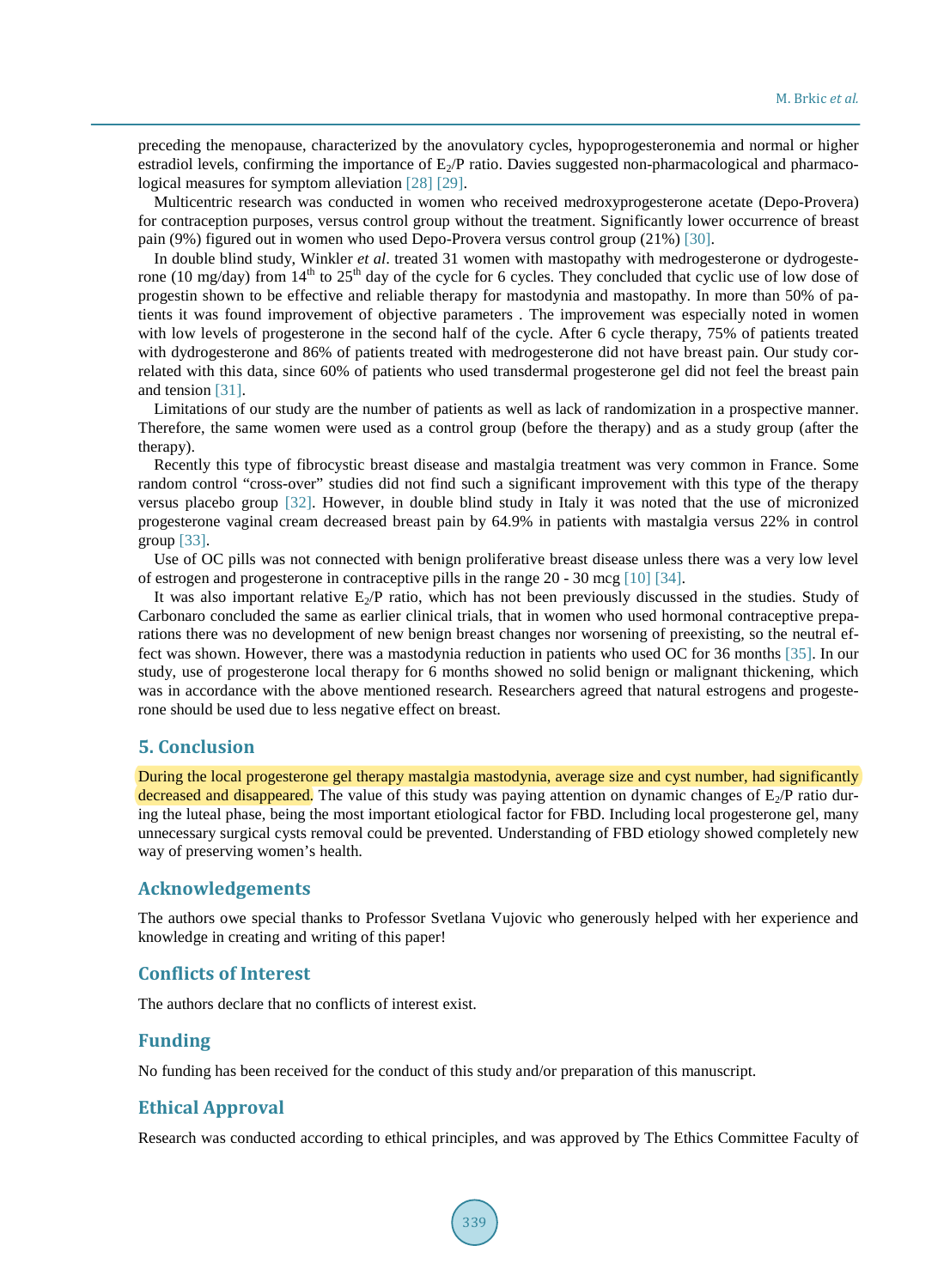preceding the menopause, characterized by the anovulatory cycles, hypoprogesteronemia and normal or higher estradiol levels, confirming the importance of  $E_2/P$  ratio. Davies suggested non-pharmacological and pharmacological measures for symptom alleviatio[n \[28\]](#page-7-7) [\[29\].](#page-7-8)

Multicentric research was conducted in women who received medroxyprogesterone acetate (Depo-Provera) for contraception purposes, versus control group without the treatment. Significantly lower occurrence of breast pain (9%) figured out in women who used Depo-Provera versus control group (21%) [\[30\].](#page-7-9)

In double blind study, Winkler *et al*. treated 31 women with mastopathy with medrogesterone or dydrogesterone (10 mg/day) from  $14<sup>th</sup>$  to  $25<sup>th</sup>$  day of the cycle for 6 cycles. They concluded that cyclic use of low dose of progestin shown to be effective and reliable therapy for mastodynia and mastopathy. In more than 50% of patients it was found improvement of objective parameters . The improvement was especially noted in women with low levels of progesterone in the second half of the cycle. After 6 cycle therapy, 75% of patients treated with dydrogesterone and 86% of patients treated with medrogesterone did not have breast pain. Our study correlated with this data, since 60% of patients who used transdermal progesterone gel did not feel the breast pain and tension [\[31\].](#page-7-10)

Limitations of our study are the number of patients as well as lack of randomization in a prospective manner. Therefore, the same women were used as a control group (before the therapy) and as a study group (after the therapy).

Recently this type of fibrocystic breast disease and mastalgia treatment was very common in France. Some random control "cross-over" studies did not find such a significant improvement with this type of the therapy versus placebo group [\[32\].](#page-7-11) However, in double blind study in Italy it was noted that the use of micronized progesterone vaginal cream decreased breast pain by 64.9% in patients with mastalgia versus 22% in control group [\[33\].](#page-7-12)

Use of OC pills was not connected with benign proliferative breast disease unless there was a very low level of estrogen and progesterone in contraceptive pills in the range 20 - 30 mcg [\[10\]](#page-6-8) [\[34\].](#page-7-13) 

It was also important relative  $E_2/P$  ratio, which has not been previously discussed in the studies. Study of Carbonaro concluded the same as earlier clinical trials, that in women who used hormonal contraceptive preparations there was no development of new benign breast changes nor worsening of preexisting, so the neutral effect was shown. However, there was a mastodynia reduction in patients who used OC for 36 months [\[35\].](#page-7-14) In our study, use of progesterone local therapy for 6 months showed no solid benign or malignant thickening, which was in accordance with the above mentioned research. Researchers agreed that natural estrogens and progesterone should be used due to less negative effect on breast.

#### **5. Conclusion**

During the local progesterone gel therapy mastalgia mastodynia, average size and cyst number, had significantly decreased and disappeared. The value of this study was paying attention on dynamic changes of  $E_2/P$  ratio during the luteal phase, being the most important etiological factor for FBD. Including local progesterone gel, many unnecessary surgical cysts removal could be prevented. Understanding of FBD etiology showed completely new way of preserving women's health.

#### **Acknowledgements**

The authors owe special thanks to Professor Svetlana Vujovic who generously helped with her experience and knowledge in creating and writing of this paper!

#### **Conflicts of Interest**

The authors declare that no conflicts of interest exist.

#### **Funding**

No funding has been received for the conduct of this study and/or preparation of this manuscript.

# **Ethical Approval**

Research was conducted according to ethical principles, and was approved by The Ethics Committee Faculty of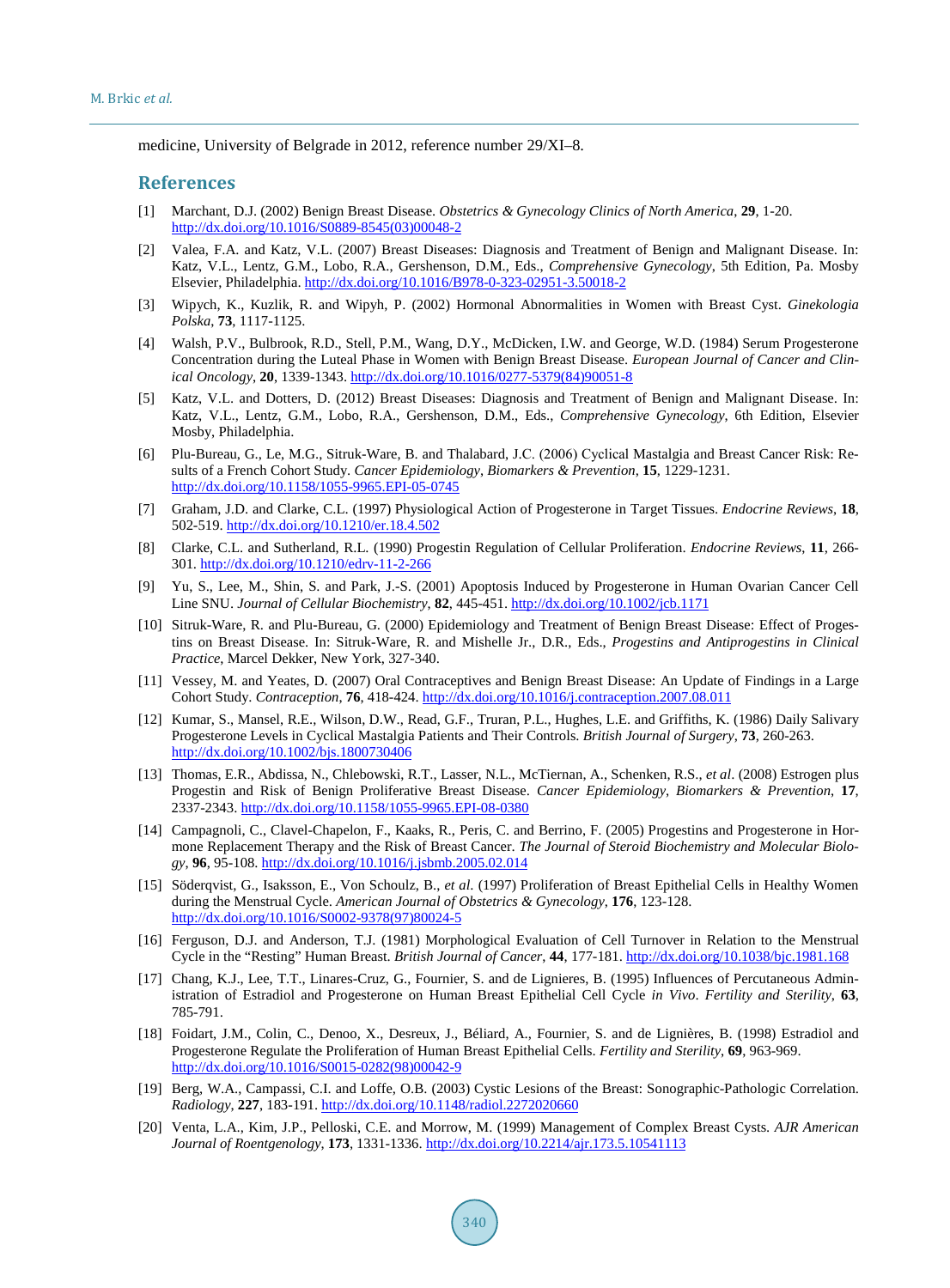medicine, University of Belgrade in 2012, reference number 29/XI–8.

#### **References**

- <span id="page-6-0"></span>[1] Marchant, D.J. (2002) Benign Breast Disease. *Obstetrics & Gynecology Clinics of North America*, **29**, 1-20. [http://dx.doi.org/10.1016/S0889-8545\(03\)00048-2](http://dx.doi.org/10.1016/S0889-8545(03)00048-2)
- <span id="page-6-1"></span>[2] Valea, F.A. and Katz, V.L. (2007) Breast Diseases: Diagnosis and Treatment of Benign and Malignant Disease. In: Katz, V.L., Lentz, G.M., Lobo, R.A., Gershenson, D.M., Eds., *Comprehensive Gynecology*, 5th Edition, Pa. Mosby Elsevier, Philadelphia.<http://dx.doi.org/10.1016/B978-0-323-02951-3.50018-2>
- <span id="page-6-2"></span>[3] Wipych, K., Kuzlik, R. and Wipyh, P. (2002) Hormonal Abnormalities in Women with Breast Cyst. *Ginekologia Polska*, **73**, 1117-1125.
- <span id="page-6-3"></span>[4] Walsh, P.V., Bulbrook, R.D., Stell, P.M., Wang, D.Y., McDicken, I.W. and George, W.D. (1984) Serum Progesterone Concentration during the Luteal Phase in Women with Benign Breast Disease. *European Journal of Cancer and Clinical Oncology*, **20**, 1339-1343. [http://dx.doi.org/10.1016/0277-5379\(84\)90051-8](http://dx.doi.org/10.1016/0277-5379(84)90051-8)
- <span id="page-6-4"></span>[5] Katz, V.L. and Dotters, D. (2012) Breast Diseases: Diagnosis and Treatment of Benign and Malignant Disease. In: Katz, V.L., Lentz, G.M., Lobo, R.A., Gershenson, D.M., Eds., *Comprehensive Gynecology*, 6th Edition, Elsevier Mosby, Philadelphia.
- <span id="page-6-5"></span>[6] Plu-Bureau, G., Le, M.G., Sitruk-Ware, B. and Thalabard, J.С. (2006) Cyclical Mastalgia and Breast Cancer Risk: Results of a French Cohort Study. *Cancer Epidemiology*, *Biomarkers & Prevention*, **15**, 1229-1231. <http://dx.doi.org/10.1158/1055-9965.EPI-05-0745>
- <span id="page-6-6"></span>[7] Graham, J.D. and Clarke, C.L. (1997) Physiological Action of Progesterone in Target Tissues. *Endocrine Reviews*, **18**, 502-519[. http://dx.doi.org/10.1210/er.18.4.502](http://dx.doi.org/10.1210/er.18.4.502)
- [8] Clarke, C.L. and Sutherland, R.L. (1990) Progestin Regulation of Cellular Proliferation. *Endocrine Reviews*, **11**, 266- 301[. http://dx.doi.org/10.1210/edrv-11-2-266](http://dx.doi.org/10.1210/edrv-11-2-266)
- <span id="page-6-7"></span>[9] Yu, S., Lee, M., Shin, S. and Park, J.-S. (2001) Apoptosis Induced by Progesterone in Human Ovarian Cancer Cell Line SNU. *Journal of Cellular Biochemistry*, **82**, 445-451. <http://dx.doi.org/10.1002/jcb.1171>
- <span id="page-6-8"></span>[10] Sitruk-Ware, R. and Plu-Bureau, G. (2000) Epidemiology and Treatment of Benign Breast Disease: Effect of Progestins on Breast Disease. In: Sitruk-Ware, R. and Mishelle Jr., D.R., Eds., *Progestins and Antiprogestins in Clinical Practice*, Marcel Dekker, New York, 327-340.
- <span id="page-6-9"></span>[11] Vessey, M. and Yeates, D. (2007) Oral Contraceptives and Benign Breast Disease: An Update of Findings in a Large Cohort Study. *Contraception*, **76**, 418-424. <http://dx.doi.org/10.1016/j.contraception.2007.08.011>
- <span id="page-6-10"></span>[12] Kumar, S., Mansel, R.E., Wilson, D.W., Read, G.F., Truran, P.L., Hughes, L.E. and Griffiths, K. (1986) Daily [Salivary](http://dx.doi.org/10.1002/bjs.1800730406)  Progesterone Levels in Cyclical Mastalgia Patients and Their Controls. *British Journal of Surgery*, **73**, 260-263. <http://dx.doi.org/10.1002/bjs.1800730406>
- <span id="page-6-11"></span>[13] Thomas, E.R., Abdissa, N., Chlebowski, R.T., Lasser, N.L., McTiernan, A., Schenken, R.S., *et al*. (2008) Estrogen plus Progestin and Risk of Benign Proliferative Breast Disease. *Cancer Epidemiology*, *Biomarkers & Prevention*, **17**, 2337-2343.<http://dx.doi.org/10.1158/1055-9965.EPI-08-0380>
- <span id="page-6-12"></span>[14] Campagnoli, C., Clavel-Chapelon, F., Kaaks, R., Peris, C. and Berrino, F. (2005) Progestins and Progesterone in Hormone Replacement Therapy and the Risk of Breast Cancer. *The Journal of Steroid Biochemistry and Molecular Biology*, **96**, 95-108. <http://dx.doi.org/10.1016/j.jsbmb.2005.02.014>
- <span id="page-6-13"></span>[15] Söderqvist, G., Isaksson, E., Von Schoulz, B., *et al*. (1997) Proliferation of Breast Epithelial Cells in Healthy Women during the Menstrual Cycle. *American Journal of Obstetrics & Gynecology*, **176**, 123-128. [http://dx.doi.org/10.1016/S0002-9378\(97\)80024-5](http://dx.doi.org/10.1016/S0002-9378(97)80024-5)
- <span id="page-6-14"></span>[16] Ferguson, D.J. and Anderson, T.J. (1981) Morphological Evaluation of Cell Turnover in Relation to the Menstrual Cycle in the "Resting" Human Breast. *British Journal of Cancer*, **44**, 177-181. <http://dx.doi.org/10.1038/bjc.1981.168>
- <span id="page-6-15"></span>[17] Chang, K.J., Lee, T.T., Linares-Cruz, G., Fournier, S. and de Lignieres, B. (1995) Influences of Percutaneous Administration of Estradiol and Progesterone on Human Breast Epithelial Cell Cycle *in Vivo*. *Fertility and Sterility*, **63**, 785-791.
- <span id="page-6-16"></span>[18] Foidart, J.M., Colin, C., Denoo, X., Desreux, J., Béliard, A., Fournier, S. and de Lignières, B. (1998) Estradiol and Progesterone Regulate the Proliferation of Human Breast Epithelial Cells. *Fertility and Sterility*, **69**, 963-969. [http://dx.doi.org/10.1016/S0015-0282\(98\)00042-9](http://dx.doi.org/10.1016/S0015-0282(98)00042-9)
- <span id="page-6-17"></span>[19] Berg, W.A., Campassi, C.I. and Loffe, O.B. (2003) Cystic Lesions of the Breast: Sonographic-Pathologic Correlation. *Radiology*, **227**, 183-191. <http://dx.doi.org/10.1148/radiol.2272020660>
- <span id="page-6-18"></span>[20] Venta, L.A., Kim, J.P., Pelloski, C.E. and Morrow, M. (1999) Management of Complex Breast Cysts. *AJR American Journal of Roentgenology*, **173**, 1331-1336. <http://dx.doi.org/10.2214/ajr.173.5.10541113>